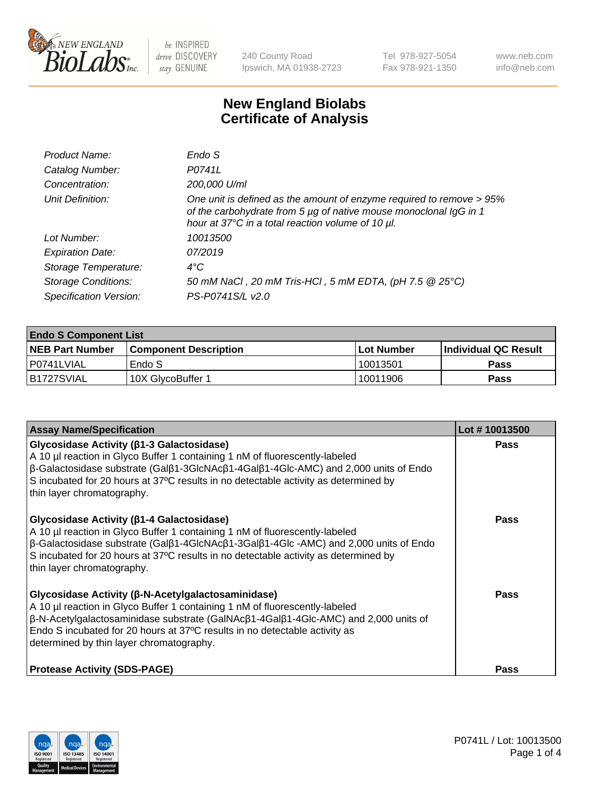

240 County Road Ipswich, MA 01938-2723 Tel 978-927-5054 Fax 978-921-1350 www.neb.com info@neb.com

## **New England Biolabs Certificate of Analysis**

| Endo S                                                                                                                                                                                         |
|------------------------------------------------------------------------------------------------------------------------------------------------------------------------------------------------|
| P0741L                                                                                                                                                                                         |
| 200,000 U/ml                                                                                                                                                                                   |
| One unit is defined as the amount of enzyme required to remove > 95%<br>of the carbohydrate from 5 µg of native mouse monoclonal IgG in 1<br>hour at 37°C in a total reaction volume of 10 µl. |
| 10013500                                                                                                                                                                                       |
| 07/2019                                                                                                                                                                                        |
| $4^{\circ}$ C                                                                                                                                                                                  |
| 50 mM NaCl, 20 mM Tris-HCl, 5 mM EDTA, (pH 7.5 @ 25°C)                                                                                                                                         |
| PS-P0741S/L v2.0                                                                                                                                                                               |
|                                                                                                                                                                                                |

| <b>Endo S Component List</b> |                         |            |                             |  |  |
|------------------------------|-------------------------|------------|-----------------------------|--|--|
| <b>NEB Part Number</b>       | l Component Description | Lot Number | <b>Individual QC Result</b> |  |  |
| l P0741LVIAL                 | Endo S                  | 10013501   | Pass                        |  |  |
| B1727SVIAL                   | 10X GlycoBuffer 1       | 10011906   | Pass                        |  |  |

| <b>Assay Name/Specification</b>                                                                                                                                                                                                                                                                                                                                           | Lot #10013500 |
|---------------------------------------------------------------------------------------------------------------------------------------------------------------------------------------------------------------------------------------------------------------------------------------------------------------------------------------------------------------------------|---------------|
| Glycosidase Activity (β1-3 Galactosidase)<br>A 10 µl reaction in Glyco Buffer 1 containing 1 nM of fluorescently-labeled<br>β-Galactosidase substrate (Galβ1-3GlcNAcβ1-4Galβ1-4Glc-AMC) and 2,000 units of Endo<br>S incubated for 20 hours at 37°C results in no detectable activity as determined by<br>thin layer chromatography.                                      | <b>Pass</b>   |
| Glycosidase Activity (β1-4 Galactosidase)<br>A 10 µl reaction in Glyco Buffer 1 containing 1 nM of fluorescently-labeled<br>$\beta$ -Galactosidase substrate (Gal $\beta$ 1-4GlcNAc $\beta$ 1-3Gal $\beta$ 1-4Glc -AMC) and 2,000 units of Endo<br>S incubated for 20 hours at 37°C results in no detectable activity as determined by<br>thin layer chromatography.      | <b>Pass</b>   |
| Glycosidase Activity (β-N-Acetylgalactosaminidase)<br>A 10 µl reaction in Glyco Buffer 1 containing 1 nM of fluorescently-labeled<br>$\beta$ -N-Acetylgalactosaminidase substrate (GalNAc $\beta$ 1-4Gal $\beta$ 1-4Glc-AMC) and 2,000 units of<br>Endo S incubated for 20 hours at 37°C results in no detectable activity as<br>determined by thin layer chromatography. | Pass          |
| <b>Protease Activity (SDS-PAGE)</b>                                                                                                                                                                                                                                                                                                                                       | <b>Pass</b>   |

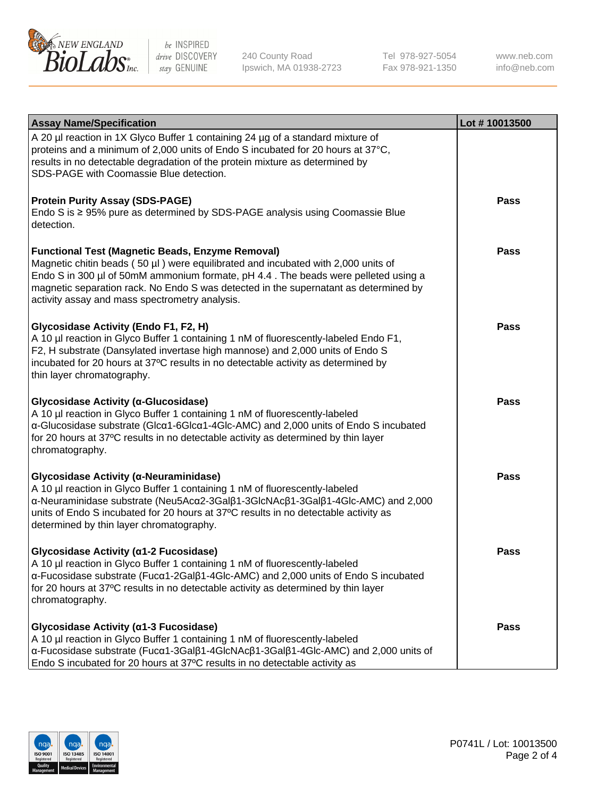

240 County Road Ipswich, MA 01938-2723 Tel 978-927-5054 Fax 978-921-1350

www.neb.com info@neb.com

| <b>Assay Name/Specification</b>                                                                                                                                                                                                                                                                                                                                              | Lot #10013500 |
|------------------------------------------------------------------------------------------------------------------------------------------------------------------------------------------------------------------------------------------------------------------------------------------------------------------------------------------------------------------------------|---------------|
| A 20 µl reaction in 1X Glyco Buffer 1 containing 24 µg of a standard mixture of<br>proteins and a minimum of 2,000 units of Endo S incubated for 20 hours at 37°C,<br>results in no detectable degradation of the protein mixture as determined by<br>SDS-PAGE with Coomassie Blue detection.                                                                                |               |
| <b>Protein Purity Assay (SDS-PAGE)</b><br>Endo S is ≥ 95% pure as determined by SDS-PAGE analysis using Coomassie Blue<br>detection.                                                                                                                                                                                                                                         | Pass          |
| <b>Functional Test (Magnetic Beads, Enzyme Removal)</b><br>Magnetic chitin beads (50 µl) were equilibrated and incubated with 2,000 units of<br>Endo S in 300 µl of 50mM ammonium formate, pH 4.4. The beads were pelleted using a<br>magnetic separation rack. No Endo S was detected in the supernatant as determined by<br>activity assay and mass spectrometry analysis. | Pass          |
| Glycosidase Activity (Endo F1, F2, H)<br>A 10 µl reaction in Glyco Buffer 1 containing 1 nM of fluorescently-labeled Endo F1,<br>F2, H substrate (Dansylated invertase high mannose) and 2,000 units of Endo S<br>incubated for 20 hours at 37°C results in no detectable activity as determined by<br>thin layer chromatography.                                            | Pass          |
| Glycosidase Activity (α-Glucosidase)<br>A 10 µl reaction in Glyco Buffer 1 containing 1 nM of fluorescently-labeled<br>α-Glucosidase substrate (Glcα1-6Glcα1-4Glc-AMC) and 2,000 units of Endo S incubated<br>for 20 hours at 37°C results in no detectable activity as determined by thin layer<br>chromatography.                                                          | <b>Pass</b>   |
| Glycosidase Activity (α-Neuraminidase)<br>A 10 µl reaction in Glyco Buffer 1 containing 1 nM of fluorescently-labeled<br>α-Neuraminidase substrate (Neu5Acα2-3Galβ1-3GlcNAcβ1-3Galβ1-4Glc-AMC) and 2,000<br>units of Endo S incubated for 20 hours at 37°C results in no detectable activity as<br>determined by thin layer chromatography.                                  | Pass          |
| Glycosidase Activity (α1-2 Fucosidase)<br>A 10 µl reaction in Glyco Buffer 1 containing 1 nM of fluorescently-labeled<br>$\alpha$ -Fucosidase substrate (Fuc $\alpha$ 1-2Gal $\beta$ 1-4Glc-AMC) and 2,000 units of Endo S incubated<br>for 20 hours at 37°C results in no detectable activity as determined by thin layer<br>chromatography.                                | Pass          |
| Glycosidase Activity (a1-3 Fucosidase)<br>A 10 µl reaction in Glyco Buffer 1 containing 1 nM of fluorescently-labeled<br>α-Fucosidase substrate (Fucα1-3Galβ1-4GlcNAcβ1-3Galβ1-4Glc-AMC) and 2,000 units of<br>Endo S incubated for 20 hours at 37°C results in no detectable activity as                                                                                    | Pass          |

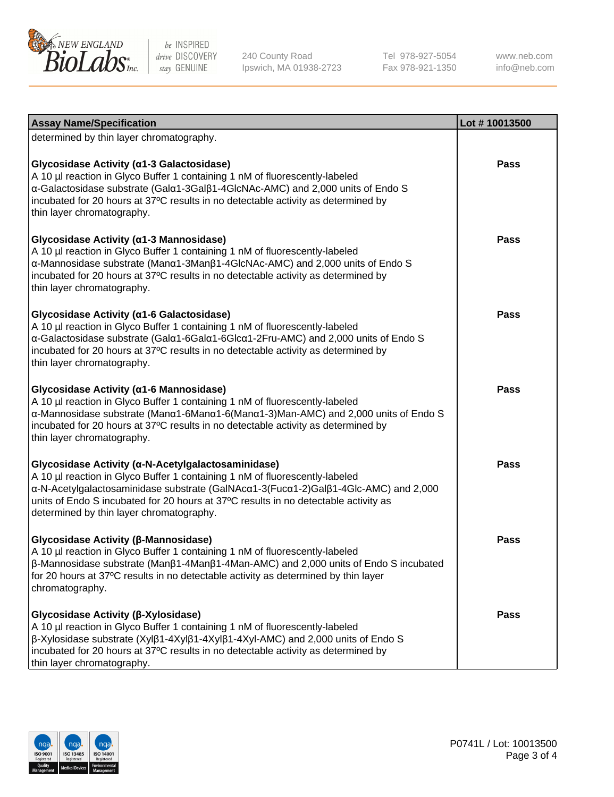

240 County Road Ipswich, MA 01938-2723 Tel 978-927-5054 Fax 978-921-1350

www.neb.com info@neb.com

| <b>Assay Name/Specification</b>                                                                                                                                                                                                                                                                                                                             | Lot #10013500 |
|-------------------------------------------------------------------------------------------------------------------------------------------------------------------------------------------------------------------------------------------------------------------------------------------------------------------------------------------------------------|---------------|
| determined by thin layer chromatography.                                                                                                                                                                                                                                                                                                                    |               |
| Glycosidase Activity (a1-3 Galactosidase)<br>A 10 µl reaction in Glyco Buffer 1 containing 1 nM of fluorescently-labeled<br>a-Galactosidase substrate (Gala1-3Galß1-4GlcNAc-AMC) and 2,000 units of Endo S<br>incubated for 20 hours at 37°C results in no detectable activity as determined by<br>thin layer chromatography.                               | Pass          |
| Glycosidase Activity (α1-3 Mannosidase)<br>A 10 µl reaction in Glyco Buffer 1 containing 1 nM of fluorescently-labeled<br>α-Mannosidase substrate (Μanα1-3Μanβ1-4GlcNAc-AMC) and 2,000 units of Endo S<br>incubated for 20 hours at 37°C results in no detectable activity as determined by<br>thin layer chromatography.                                   | Pass          |
| Glycosidase Activity (α1-6 Galactosidase)<br>A 10 µl reaction in Glyco Buffer 1 containing 1 nM of fluorescently-labeled<br>α-Galactosidase substrate (Galα1-6Galα1-6Glcα1-2Fru-AMC) and 2,000 units of Endo S<br>incubated for 20 hours at 37°C results in no detectable activity as determined by<br>thin layer chromatography.                           | Pass          |
| Glycosidase Activity (α1-6 Mannosidase)<br>A 10 µl reaction in Glyco Buffer 1 containing 1 nM of fluorescently-labeled<br>α-Mannosidase substrate (Μanα1-6Μanα1-6(Μanα1-3)Man-AMC) and 2,000 units of Endo S<br>incubated for 20 hours at 37°C results in no detectable activity as determined by<br>thin layer chromatography.                             | <b>Pass</b>   |
| Glycosidase Activity (a-N-Acetylgalactosaminidase)<br>A 10 µl reaction in Glyco Buffer 1 containing 1 nM of fluorescently-labeled<br>α-N-Acetylgalactosaminidase substrate (GalNAcα1-3(Fucα1-2)Galβ1-4Glc-AMC) and 2,000<br>units of Endo S incubated for 20 hours at 37°C results in no detectable activity as<br>determined by thin layer chromatography. | <b>Pass</b>   |
| Glycosidase Activity (β-Mannosidase)<br>A 10 µl reaction in Glyco Buffer 1 containing 1 nM of fluorescently-labeled<br>β-Mannosidase substrate (Manβ1-4Manβ1-4Man-AMC) and 2,000 units of Endo S incubated<br>for 20 hours at 37°C results in no detectable activity as determined by thin layer<br>chromatography.                                         | <b>Pass</b>   |
| Glycosidase Activity (β-Xylosidase)<br>A 10 µl reaction in Glyco Buffer 1 containing 1 nM of fluorescently-labeled<br>$\beta$ -Xylosidase substrate (Xyl $\beta$ 1-4Xyl $\beta$ 1-4Xyl $\beta$ 1-4Xyl-AMC) and 2,000 units of Endo S<br>incubated for 20 hours at 37°C results in no detectable activity as determined by<br>thin layer chromatography.     | Pass          |